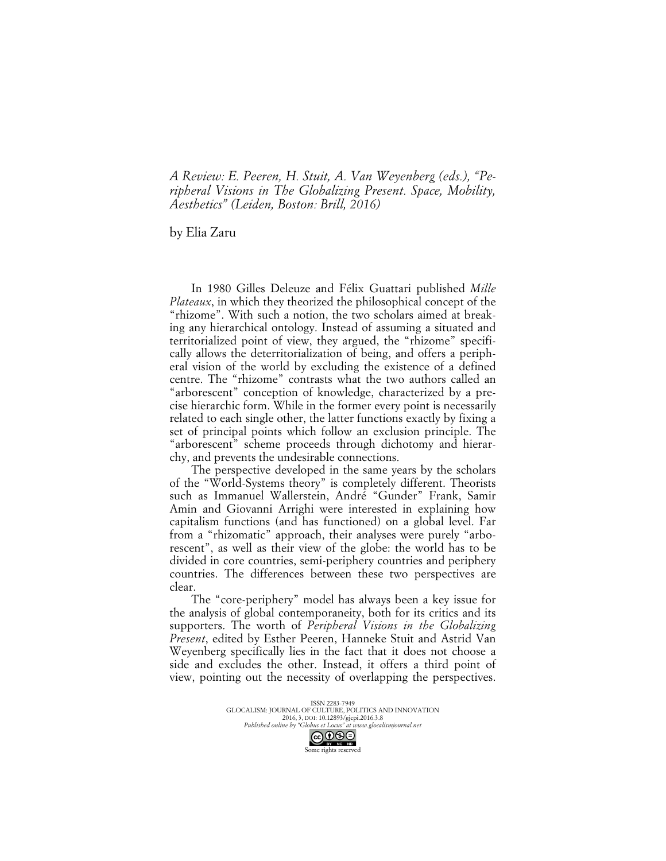*A Review: E. Peeren, H. Stuit, A. Van Weyenberg (eds.), "Peripheral Visions in The Globalizing Present. Space, Mobility, Aesthetics" (Leiden, Boston: Brill, 2016)*

by Elia Zaru

In 1980 Gilles Deleuze and Félix Guattari published *Mille Plateaux*, in which they theorized the philosophical concept of the "rhizome". With such a notion, the two scholars aimed at breaking any hierarchical ontology. Instead of assuming a situated and territorialized point of view, they argued, the "rhizome" specifically allows the deterritorialization of being, and offers a peripheral vision of the world by excluding the existence of a defined centre. The "rhizome" contrasts what the two authors called an "arborescent" conception of knowledge, characterized by a precise hierarchic form. While in the former every point is necessarily related to each single other, the latter functions exactly by fixing a set of principal points which follow an exclusion principle. The "arborescent" scheme proceeds through dichotomy and hierarchy, and prevents the undesirable connections.

The perspective developed in the same years by the scholars of the "World-Systems theory" is completely different. Theorists such as Immanuel Wallerstein, André "Gunder" Frank, Samir Amin and Giovanni Arrighi were interested in explaining how capitalism functions (and has functioned) on a global level. Far from a "rhizomatic" approach, their analyses were purely "arborescent", as well as their view of the globe: the world has to be divided in core countries, semi-periphery countries and periphery countries. The differences between these two perspectives are clear.

The "core-periphery" model has always been a key issue for the analysis of global contemporaneity, both for its critics and its supporters. The worth of *Peripheral Visions in the Globalizing Present*, edited by Esther Peeren, Hanneke Stuit and Astrid Van Weyenberg specifically lies in the fact that it does not choose a side and excludes the other. Instead, it offers a third point of view, pointing out the necessity of overlapping the perspectives.

> ISSN 2283-7949 GLOCALISM: JOURNAL OF CULTURE, POLITICS AND INNOVATION 2016, 3, DOI: 10.12893/gjcpi.2016.3.8 *Published online by "Globus et Locus" at www.glocalismjournal.net*<br>  $\bigcirc \bigcirc \bigcirc \bigcirc \bigcirc \bigcirc \bigcirc$ Some rights reserved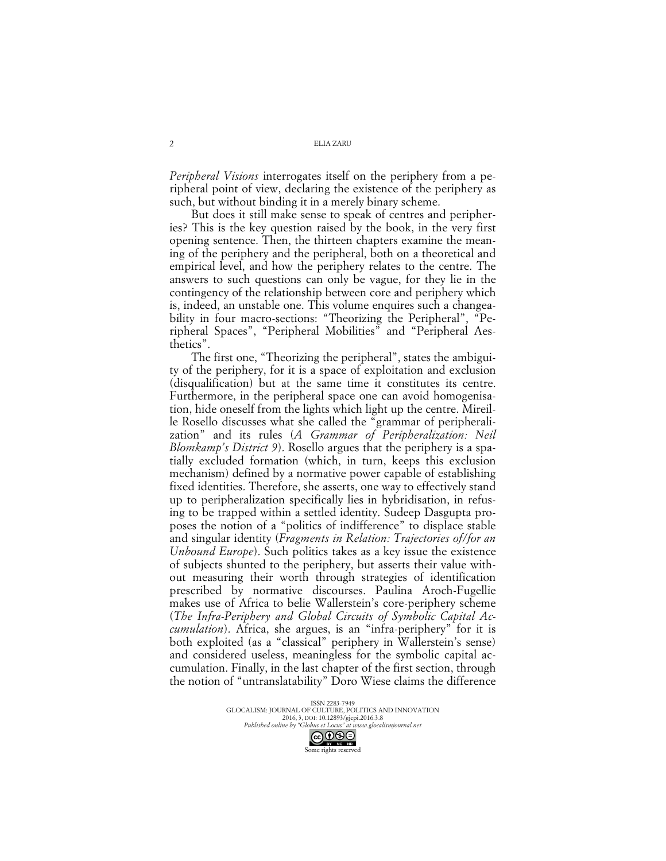ELIA ZARU

*Peripheral Visions* interrogates itself on the periphery from a peripheral point of view, declaring the existence of the periphery as such, but without binding it in a merely binary scheme.

But does it still make sense to speak of centres and peripheries? This is the key question raised by the book, in the very first opening sentence. Then, the thirteen chapters examine the meaning of the periphery and the peripheral, both on a theoretical and empirical level, and how the periphery relates to the centre. The answers to such questions can only be vague, for they lie in the contingency of the relationship between core and periphery which is, indeed, an unstable one. This volume enquires such a changeability in four macro-sections: "Theorizing the Peripheral", "Peripheral Spaces", "Peripheral Mobilities" and "Peripheral Aesthetics".

The first one, "Theorizing the peripheral", states the ambiguity of the periphery, for it is a space of exploitation and exclusion (disqualification) but at the same time it constitutes its centre. Furthermore, in the peripheral space one can avoid homogenisation, hide oneself from the lights which light up the centre. Mireille Rosello discusses what she called the "grammar of peripheralization" and its rules (*A Grammar of Peripheralization: Neil Blomkamp's District 9*). Rosello argues that the periphery is a spatially excluded formation (which, in turn, keeps this exclusion mechanism) defined by a normative power capable of establishing fixed identities. Therefore, she asserts, one way to effectively stand up to peripheralization specifically lies in hybridisation, in refusing to be trapped within a settled identity. Sudeep Dasgupta proposes the notion of a "politics of indifference" to displace stable and singular identity (*Fragments in Relation: Trajectories of/for an Unbound Europe*). Such politics takes as a key issue the existence of subjects shunted to the periphery, but asserts their value without measuring their worth through strategies of identification prescribed by normative discourses. Paulina Aroch-Fugellie makes use of Africa to belie Wallerstein's core-periphery scheme (*The Infra-Periphery and Global Circuits of Symbolic Capital Accumulation*). Africa, she argues, is an "infra-periphery" for it is both exploited (as a "classical" periphery in Wallerstein's sense) and considered useless, meaningless for the symbolic capital accumulation. Finally, in the last chapter of the first section, through the notion of "untranslatability" Doro Wiese claims the difference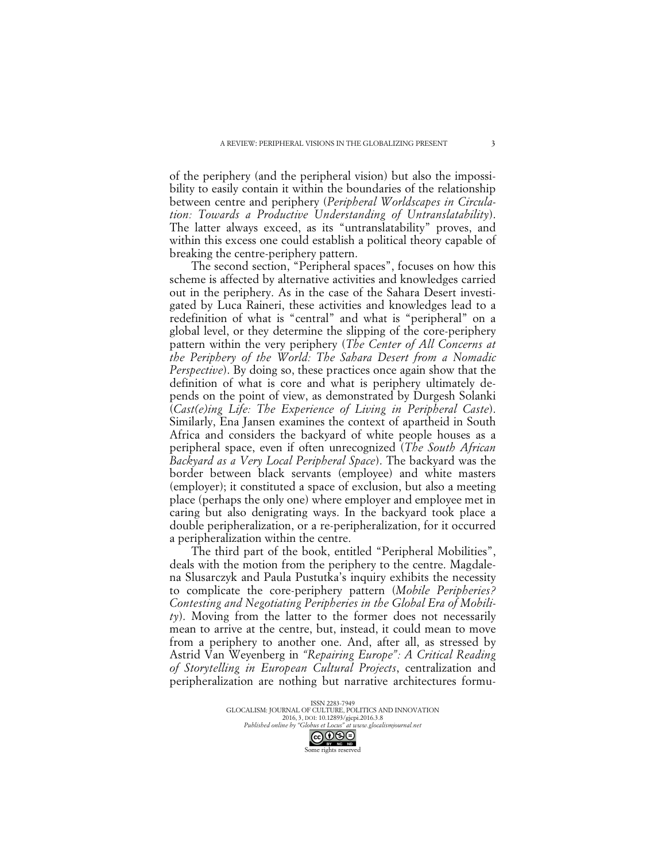of the periphery (and the peripheral vision) but also the impossibility to easily contain it within the boundaries of the relationship between centre and periphery (*Peripheral Worldscapes in Circulation: Towards a Productive Understanding of Untranslatability*). The latter always exceed, as its "untranslatability" proves, and within this excess one could establish a political theory capable of breaking the centre-periphery pattern.

The second section, "Peripheral spaces", focuses on how this scheme is affected by alternative activities and knowledges carried out in the periphery. As in the case of the Sahara Desert investigated by Luca Raineri, these activities and knowledges lead to a redefinition of what is "central" and what is "peripheral" on a global level, or they determine the slipping of the core-periphery pattern within the very periphery (*The Center of All Concerns at the Periphery of the World: The Sahara Desert from a Nomadic Perspective*). By doing so, these practices once again show that the definition of what is core and what is periphery ultimately depends on the point of view, as demonstrated by Durgesh Solanki (*Cast(e)ing Life: The Experience of Living in Peripheral Caste*). Similarly, Ena Jansen examines the context of apartheid in South Africa and considers the backyard of white people houses as a peripheral space, even if often unrecognized (*The South African Backyard as a Very Local Peripheral Space*). The backyard was the border between black servants (employee) and white masters (employer); it constituted a space of exclusion, but also a meeting place (perhaps the only one) where employer and employee met in caring but also denigrating ways. In the backyard took place a double peripheralization, or a re-peripheralization, for it occurred a peripheralization within the centre.

The third part of the book, entitled "Peripheral Mobilities", deals with the motion from the periphery to the centre. Magdalena Slusarczyk and Paula Pustutka's inquiry exhibits the necessity to complicate the core-periphery pattern (*Mobile Peripheries? Contesting and Negotiating Peripheries in the Global Era of Mobility*). Moving from the latter to the former does not necessarily mean to arrive at the centre, but, instead, it could mean to move from a periphery to another one. And, after all, as stressed by Astrid Van Weyenberg in *"Repairing Europe": A Critical Reading of Storytelling in European Cultural Projects*, centralization and peripheralization are nothing but narrative architectures formu-

> ISSN 2283-7949 GLOCALISM: JOURNAL OF CULTURE, POLITICS AND INNOVATION 2016, 3, DOI: 10.12893/gjcpi.2016.3.8 *Published online by "Globus et Locus" at www.glocalismjournal.net*<br>  $\bigcirc \bigcirc \bigcirc \bigcirc \bigcirc \bigcirc \bigcirc$

Some rights reserved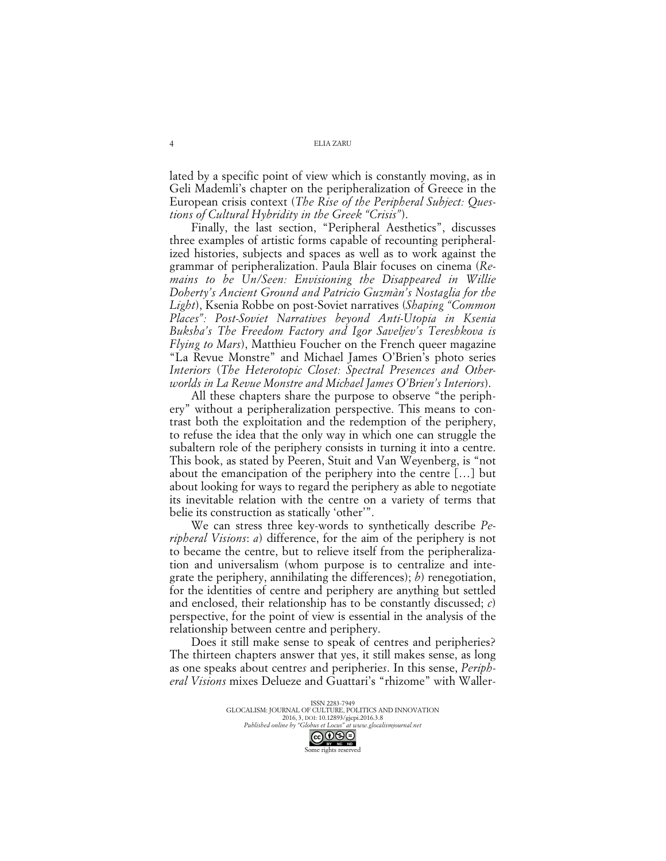ELIA ZARU

lated by a specific point of view which is constantly moving, as in Geli Mademli's chapter on the peripheralization of Greece in the European crisis context (*The Rise of the Peripheral Subject: Questions of Cultural Hybridity in the Greek "Crisis"*).

Finally, the last section, "Peripheral Aesthetics", discusses three examples of artistic forms capable of recounting peripheralized histories, subjects and spaces as well as to work against the grammar of peripheralization. Paula Blair focuses on cinema (*Remains to be Un/Seen: Envisioning the Disappeared in Willie Doherty's Ancient Ground and Patricio Guzmàn's Nostaglia for the Light*), Ksenia Robbe on post-Soviet narratives (*Shaping "Common Places": Post-Soviet Narratives beyond Anti-Utopia in Ksenia Buksha's The Freedom Factory and Igor Saveljev's Tereshkova is Flying to Mars*), Matthieu Foucher on the French queer magazine "La Revue Monstre" and Michael James O'Brien's photo series *Interiors* (*The Heterotopic Closet: Spectral Presences and Otherworlds in La Revue Monstre and Michael James O'Brien's Interiors*).

All these chapters share the purpose to observe "the periphery" without a peripheralization perspective. This means to contrast both the exploitation and the redemption of the periphery, to refuse the idea that the only way in which one can struggle the subaltern role of the periphery consists in turning it into a centre. This book, as stated by Peeren, Stuit and Van Weyenberg, is "not about the emancipation of the periphery into the centre […] but about looking for ways to regard the periphery as able to negotiate its inevitable relation with the centre on a variety of terms that belie its construction as statically 'other'".

We can stress three key-words to synthetically describe *Peripheral Visions*: *a*) difference, for the aim of the periphery is not to became the centre, but to relieve itself from the peripheralization and universalism (whom purpose is to centralize and integrate the periphery, annihilating the differences); *b*) renegotiation, for the identities of centre and periphery are anything but settled and enclosed, their relationship has to be constantly discussed; *c*) perspective, for the point of view is essential in the analysis of the relationship between centre and periphery.

Does it still make sense to speak of centres and peripheries? The thirteen chapters answer that yes, it still makes sense, as long as one speaks about centre*s* and peripherie*s*. In this sense, *Peripheral Visions* mixes Delueze and Guattari's "rhizome" with Waller-

> ISSN 2283-7949 GLOCALISM: JOURNAL OF CULTURE, POLITICS AND INNOVATION 2016, 3, DOI: 10.12893/gjcpi.2016.3.8 *Published online by "Globus et Locus" at www.glocalismjournal.net* Some rights reserved